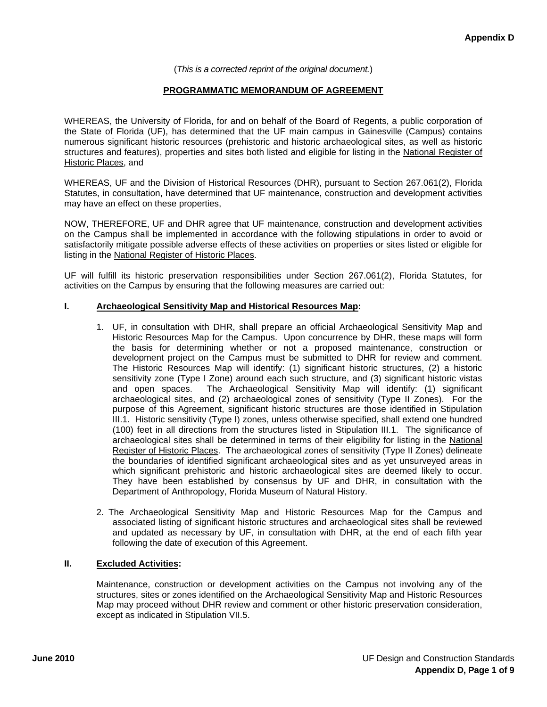#### (*This is a corrected reprint of the original document.*)

#### **PROGRAMMATIC MEMORANDUM OF AGREEMENT**

WHEREAS, the University of Florida, for and on behalf of the Board of Regents, a public corporation of the State of Florida (UF), has determined that the UF main campus in Gainesville (Campus) contains numerous significant historic resources (prehistoric and historic archaeological sites, as well as historic structures and features), properties and sites both listed and eligible for listing in the National Register of Historic Places, and

WHEREAS, UF and the Division of Historical Resources (DHR), pursuant to Section 267.061(2), Florida Statutes, in consultation, have determined that UF maintenance, construction and development activities may have an effect on these properties,

NOW, THEREFORE, UF and DHR agree that UF maintenance, construction and development activities on the Campus shall be implemented in accordance with the following stipulations in order to avoid or satisfactorily mitigate possible adverse effects of these activities on properties or sites listed or eligible for listing in the National Register of Historic Places.

UF will fulfill its historic preservation responsibilities under Section 267.061(2), Florida Statutes, for activities on the Campus by ensuring that the following measures are carried out:

#### **I. Archaeological Sensitivity Map and Historical Resources Map:**

- 1. UF, in consultation with DHR, shall prepare an official Archaeological Sensitivity Map and Historic Resources Map for the Campus. Upon concurrence by DHR, these maps will form the basis for determining whether or not a proposed maintenance, construction or development project on the Campus must be submitted to DHR for review and comment. The Historic Resources Map will identify: (1) significant historic structures, (2) a historic sensitivity zone (Type I Zone) around each such structure, and (3) significant historic vistas and open spaces. The Archaeological Sensitivity Map will identify: (1) significant archaeological sites, and (2) archaeological zones of sensitivity (Type II Zones). For the purpose of this Agreement, significant historic structures are those identified in Stipulation III.1. Historic sensitivity (Type I) zones, unless otherwise specified, shall extend one hundred (100) feet in all directions from the structures listed in Stipulation III.1. The significance of archaeological sites shall be determined in terms of their eligibility for listing in the National Register of Historic Places. The archaeological zones of sensitivity (Type II Zones) delineate the boundaries of identified significant archaeological sites and as yet unsurveyed areas in which significant prehistoric and historic archaeological sites are deemed likely to occur. They have been established by consensus by UF and DHR, in consultation with the Department of Anthropology, Florida Museum of Natural History.
- 2. The Archaeological Sensitivity Map and Historic Resources Map for the Campus and associated listing of significant historic structures and archaeological sites shall be reviewed and updated as necessary by UF, in consultation with DHR, at the end of each fifth year following the date of execution of this Agreement.

#### **II. Excluded Activities:**

Maintenance, construction or development activities on the Campus not involving any of the structures, sites or zones identified on the Archaeological Sensitivity Map and Historic Resources Map may proceed without DHR review and comment or other historic preservation consideration, except as indicated in Stipulation VII.5.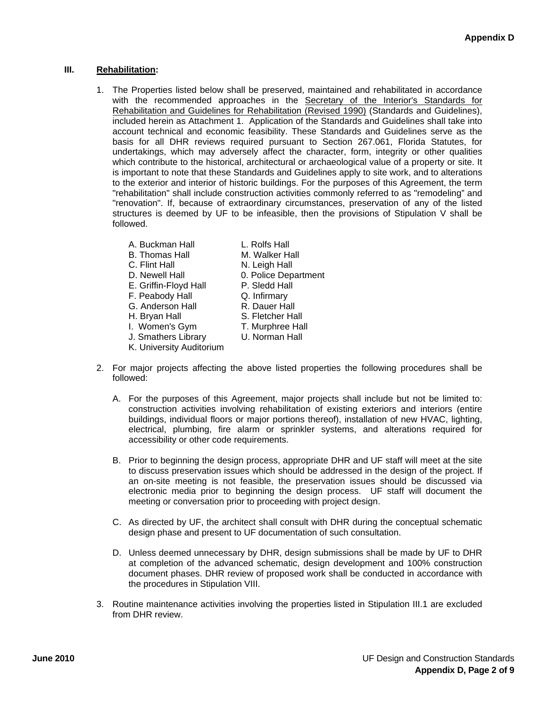# **III. Rehabilitation:**

- 1. The Properties listed below shall be preserved, maintained and rehabilitated in accordance with the recommended approaches in the Secretary of the Interior's Standards for Rehabilitation and Guidelines for Rehabilitation (Revised 1990) (Standards and Guidelines), included herein as Attachment 1. Application of the Standards and Guidelines shall take into account technical and economic feasibility. These Standards and Guidelines serve as the basis for all DHR reviews required pursuant to Section 267.061, Florida Statutes, for undertakings, which may adversely affect the character, form, integrity or other qualities which contribute to the historical, architectural or archaeological value of a property or site. It is important to note that these Standards and Guidelines apply to site work, and to alterations to the exterior and interior of historic buildings. For the purposes of this Agreement, the term "rehabilitation" shall include construction activities commonly referred to as "remodeling" and "renovation". If, because of extraordinary circumstances, preservation of any of the listed structures is deemed by UF to be infeasible, then the provisions of Stipulation V shall be followed.
	- A. Buckman Hall **L. Rolfs Hall** 
		-
	- B. Thomas Hall M. Walker Hall
	- C. Flint Hall N. Leigh Hall
	- D. Newell Hall 0. Police Department
	- E. Griffin-Floyd Hall P. Sledd Hall
	- F. Peabody Hall Q. Infirmary
	- G. Anderson Hall R. Dauer Hall
	- H. Brvan Hall S. Fletcher Hall
	- I. Women's Gym T. Murphree Hall
	- J. Smathers Library U. Norman Hall
	- K. University Auditorium
- 2. For major projects affecting the above listed properties the following procedures shall be followed:
	- A. For the purposes of this Agreement, major projects shall include but not be limited to: construction activities involving rehabilitation of existing exteriors and interiors (entire buildings, individual floors or major portions thereof), installation of new HVAC, lighting, electrical, plumbing, fire alarm or sprinkler systems, and alterations required for accessibility or other code requirements.
	- B. Prior to beginning the design process, appropriate DHR and UF staff will meet at the site to discuss preservation issues which should be addressed in the design of the project. If an on-site meeting is not feasible, the preservation issues should be discussed via electronic media prior to beginning the design process. UF staff will document the meeting or conversation prior to proceeding with project design.
	- C. As directed by UF, the architect shall consult with DHR during the conceptual schematic design phase and present to UF documentation of such consultation.
	- D. Unless deemed unnecessary by DHR, design submissions shall be made by UF to DHR at completion of the advanced schematic, design development and 100% construction document phases. DHR review of proposed work shall be conducted in accordance with the procedures in Stipulation VIII.
- 3. Routine maintenance activities involving the properties listed in Stipulation III.1 are excluded from DHR review.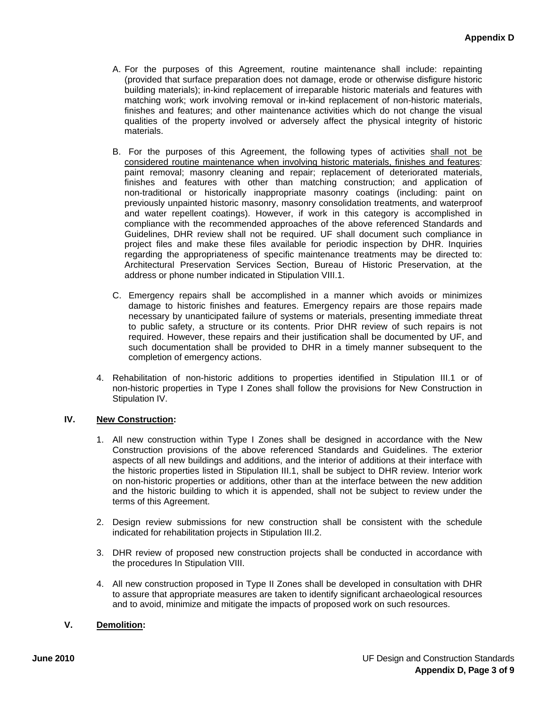- A. For the purposes of this Agreement, routine maintenance shall include: repainting (provided that surface preparation does not damage, erode or otherwise disfigure historic building materials); in-kind replacement of irreparable historic materials and features with matching work; work involving removal or in-kind replacement of non-historic materials, finishes and features; and other maintenance activities which do not change the visual qualities of the property involved or adversely affect the physical integrity of historic materials.
- B. For the purposes of this Agreement, the following types of activities shall not be considered routine maintenance when involving historic materials, finishes and features: paint removal; masonry cleaning and repair; replacement of deteriorated materials, finishes and features with other than matching construction; and application of non-traditional or historically inappropriate masonry coatings (including: paint on previously unpainted historic masonry, masonry consolidation treatments, and waterproof and water repellent coatings). However, if work in this category is accomplished in compliance with the recommended approaches of the above referenced Standards and Guidelines, DHR review shall not be required. UF shall document such compliance in project files and make these files available for periodic inspection by DHR. Inquiries regarding the appropriateness of specific maintenance treatments may be directed to: Architectural Preservation Services Section, Bureau of Historic Preservation, at the address or phone number indicated in Stipulation VIII.1.
- C. Emergency repairs shall be accomplished in a manner which avoids or minimizes damage to historic finishes and features. Emergency repairs are those repairs made necessary by unanticipated failure of systems or materials, presenting immediate threat to public safety, a structure or its contents. Prior DHR review of such repairs is not required. However, these repairs and their justification shall be documented by UF, and such documentation shall be provided to DHR in a timely manner subsequent to the completion of emergency actions.
- 4. Rehabilitation of non-historic additions to properties identified in Stipulation III.1 or of non-historic properties in Type I Zones shall follow the provisions for New Construction in Stipulation IV.

## **IV. New Construction:**

- 1. All new construction within Type I Zones shall be designed in accordance with the New Construction provisions of the above referenced Standards and Guidelines. The exterior aspects of all new buildings and additions, and the interior of additions at their interface with the historic properties listed in Stipulation III.1, shall be subject to DHR review. Interior work on non-historic properties or additions, other than at the interface between the new addition and the historic building to which it is appended, shall not be subject to review under the terms of this Agreement.
- 2. Design review submissions for new construction shall be consistent with the schedule indicated for rehabilitation projects in Stipulation III.2.
- 3. DHR review of proposed new construction projects shall be conducted in accordance with the procedures In Stipulation VIII.
- 4. All new construction proposed in Type II Zones shall be developed in consultation with DHR to assure that appropriate measures are taken to identify significant archaeological resources and to avoid, minimize and mitigate the impacts of proposed work on such resources.

## **V. Demolition:**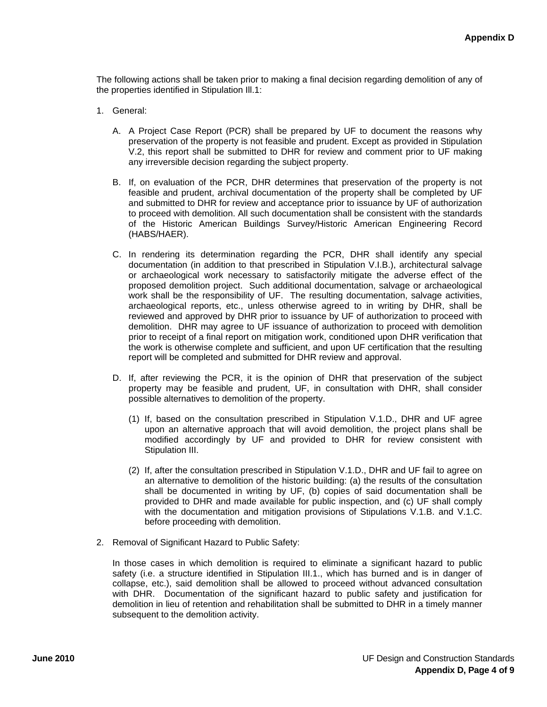The following actions shall be taken prior to making a final decision regarding demolition of any of the properties identified in Stipulation Ill.1:

- 1. General:
	- A. A Project Case Report (PCR) shall be prepared by UF to document the reasons why preservation of the property is not feasible and prudent. Except as provided in Stipulation V.2, this report shall be submitted to DHR for review and comment prior to UF making any irreversible decision regarding the subject property.
	- B. If, on evaluation of the PCR, DHR determines that preservation of the property is not feasible and prudent, archival documentation of the property shall be completed by UF and submitted to DHR for review and acceptance prior to issuance by UF of authorization to proceed with demolition. All such documentation shall be consistent with the standards of the Historic American Buildings Survey/Historic American Engineering Record (HABS/HAER).
	- C. In rendering its determination regarding the PCR, DHR shall identify any special documentation (in addition to that prescribed in Stipulation V.I.B.), architectural salvage or archaeological work necessary to satisfactorily mitigate the adverse effect of the proposed demolition project. Such additional documentation, salvage or archaeological work shall be the responsibility of UF. The resulting documentation, salvage activities, archaeological reports, etc., unless otherwise agreed to in writing by DHR, shall be reviewed and approved by DHR prior to issuance by UF of authorization to proceed with demolition. DHR may agree to UF issuance of authorization to proceed with demolition prior to receipt of a final report on mitigation work, conditioned upon DHR verification that the work is otherwise complete and sufficient, and upon UF certification that the resulting report will be completed and submitted for DHR review and approval.
	- D. If, after reviewing the PCR, it is the opinion of DHR that preservation of the subject property may be feasible and prudent, UF, in consultation with DHR, shall consider possible alternatives to demolition of the property.
		- (1) If, based on the consultation prescribed in Stipulation V.1.D., DHR and UF agree upon an alternative approach that will avoid demolition, the project plans shall be modified accordingly by UF and provided to DHR for review consistent with Stipulation III.
		- (2) If, after the consultation prescribed in Stipulation V.1.D., DHR and UF fail to agree on an alternative to demolition of the historic building: (a) the results of the consultation shall be documented in writing by UF, (b) copies of said documentation shall be provided to DHR and made available for public inspection, and (c) UF shall comply with the documentation and mitigation provisions of Stipulations V.1.B. and V.1.C. before proceeding with demolition.
- 2. Removal of Significant Hazard to Public Safety:

In those cases in which demolition is required to eliminate a significant hazard to public safety (i.e. a structure identified in Stipulation III.1., which has burned and is in danger of collapse, etc.), said demolition shall be allowed to proceed without advanced consultation with DHR. Documentation of the significant hazard to public safety and justification for demolition in lieu of retention and rehabilitation shall be submitted to DHR in a timely manner subsequent to the demolition activity.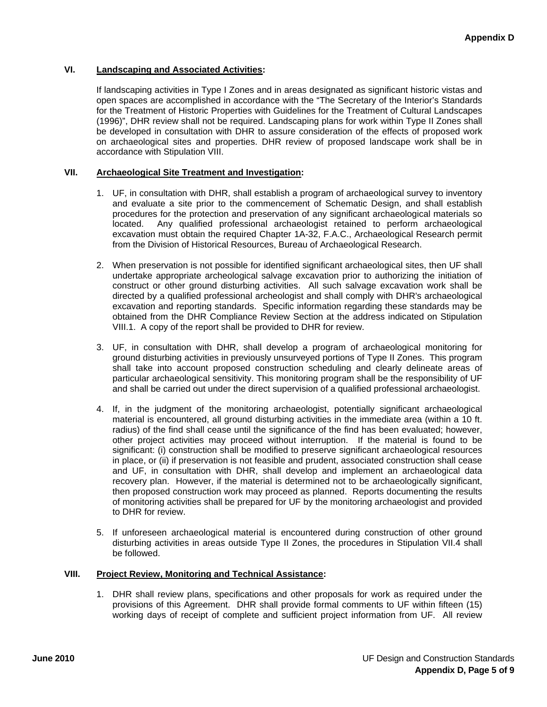## **VI. Landscaping and Associated Activities:**

If landscaping activities in Type I Zones and in areas designated as significant historic vistas and open spaces are accomplished in accordance with the "The Secretary of the Interior's Standards for the Treatment of Historic Properties with Guidelines for the Treatment of Cultural Landscapes (1996)", DHR review shall not be required. Landscaping plans for work within Type II Zones shall be developed in consultation with DHR to assure consideration of the effects of proposed work on archaeological sites and properties. DHR review of proposed landscape work shall be in accordance with Stipulation VIII.

#### **VII. Archaeological Site Treatment and Investigation:**

- 1. UF, in consultation with DHR, shall establish a program of archaeological survey to inventory and evaluate a site prior to the commencement of Schematic Design, and shall establish procedures for the protection and preservation of any significant archaeological materials so located. Any qualified professional archaeologist retained to perform archaeological excavation must obtain the required Chapter 1A-32, F.A.C., Archaeological Research permit from the Division of Historical Resources, Bureau of Archaeological Research.
- 2. When preservation is not possible for identified significant archaeological sites, then UF shall undertake appropriate archeological salvage excavation prior to authorizing the initiation of construct or other ground disturbing activities. All such salvage excavation work shall be directed by a qualified professional archeologist and shall comply with DHR's archaeological excavation and reporting standards. Specific information regarding these standards may be obtained from the DHR Compliance Review Section at the address indicated on Stipulation VIII.1. A copy of the report shall be provided to DHR for review.
- 3. UF, in consultation with DHR, shall develop a program of archaeological monitoring for ground disturbing activities in previously unsurveyed portions of Type II Zones. This program shall take into account proposed construction scheduling and clearly delineate areas of particular archaeological sensitivity. This monitoring program shall be the responsibility of UF and shall be carried out under the direct supervision of a qualified professional archaeologist.
- 4. If, in the judgment of the monitoring archaeologist, potentially significant archaeological material is encountered, all ground disturbing activities in the immediate area (within a 10 ft. radius) of the find shall cease until the significance of the find has been evaluated; however, other project activities may proceed without interruption. If the material is found to be significant: (i) construction shall be modified to preserve significant archaeological resources in place, or (ii) if preservation is not feasible and prudent, associated construction shall cease and UF, in consultation with DHR, shall develop and implement an archaeological data recovery plan. However, if the material is determined not to be archaeologically significant, then proposed construction work may proceed as planned. Reports documenting the results of monitoring activities shall be prepared for UF by the monitoring archaeologist and provided to DHR for review.
- 5. If unforeseen archaeological material is encountered during construction of other ground disturbing activities in areas outside Type II Zones, the procedures in Stipulation VII.4 shall be followed.

#### **VIII. Project Review, Monitoring and Technical Assistance:**

1. DHR shall review plans, specifications and other proposals for work as required under the provisions of this Agreement. DHR shall provide formal comments to UF within fifteen (15) working days of receipt of complete and sufficient project information from UF. All review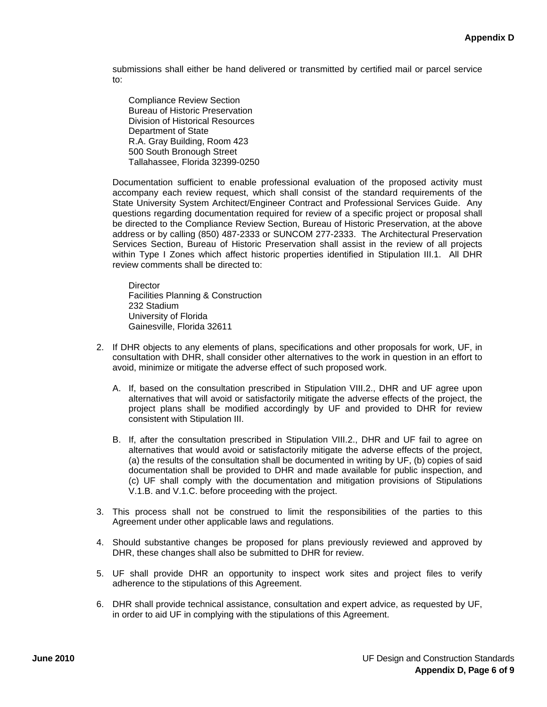submissions shall either be hand delivered or transmitted by certified mail or parcel service to:

Compliance Review Section Bureau of Historic Preservation Division of Historical Resources Department of State R.A. Gray Building, Room 423 500 South Bronough Street Tallahassee, Florida 32399-0250

Documentation sufficient to enable professional evaluation of the proposed activity must accompany each review request, which shall consist of the standard requirements of the State University System Architect/Engineer Contract and Professional Services Guide. Any questions regarding documentation required for review of a specific project or proposal shall be directed to the Compliance Review Section, Bureau of Historic Preservation, at the above address or by calling (850) 487-2333 or SUNCOM 277-2333. The Architectural Preservation Services Section, Bureau of Historic Preservation shall assist in the review of all projects within Type I Zones which affect historic properties identified in Stipulation III.1. All DHR review comments shall be directed to:

**Director** Facilities Planning & Construction 232 Stadium University of Florida Gainesville, Florida 32611

- 2. If DHR objects to any elements of plans, specifications and other proposals for work, UF, in consultation with DHR, shall consider other alternatives to the work in question in an effort to avoid, minimize or mitigate the adverse effect of such proposed work.
	- A. If, based on the consultation prescribed in Stipulation VIII.2., DHR and UF agree upon alternatives that will avoid or satisfactorily mitigate the adverse effects of the project, the project plans shall be modified accordingly by UF and provided to DHR for review consistent with Stipulation III.
	- B. If, after the consultation prescribed in Stipulation VIII.2., DHR and UF fail to agree on alternatives that would avoid or satisfactorily mitigate the adverse effects of the project, (a) the results of the consultation shall be documented in writing by UF, (b) copies of said documentation shall be provided to DHR and made available for public inspection, and (c) UF shall comply with the documentation and mitigation provisions of Stipulations V.1.B. and V.1.C. before proceeding with the project.
- 3. This process shall not be construed to limit the responsibilities of the parties to this Agreement under other applicable laws and regulations.
- 4. Should substantive changes be proposed for plans previously reviewed and approved by DHR, these changes shall also be submitted to DHR for review.
- 5. UF shall provide DHR an opportunity to inspect work sites and project files to verify adherence to the stipulations of this Agreement.
- 6. DHR shall provide technical assistance, consultation and expert advice, as requested by UF, in order to aid UF in complying with the stipulations of this Agreement.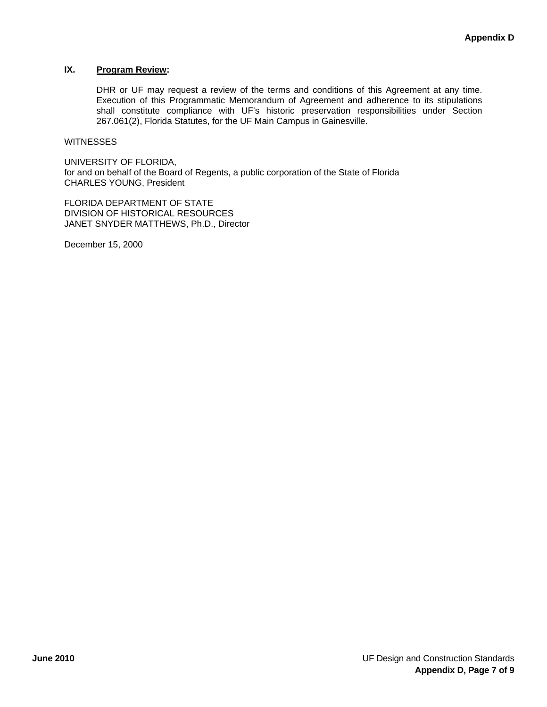## **IX. Program Review:**

DHR or UF may request a review of the terms and conditions of this Agreement at any time. Execution of this Programmatic Memorandum of Agreement and adherence to its stipulations shall constitute compliance with UF's historic preservation responsibilities under Section 267.061(2), Florida Statutes, for the UF Main Campus in Gainesville.

#### **WITNESSES**

UNIVERSITY OF FLORIDA, for and on behalf of the Board of Regents, a public corporation of the State of Florida CHARLES YOUNG, President

FLORIDA DEPARTMENT OF STATE DIVISION OF HISTORICAL RESOURCES JANET SNYDER MATTHEWS, Ph.D., Director

December 15, 2000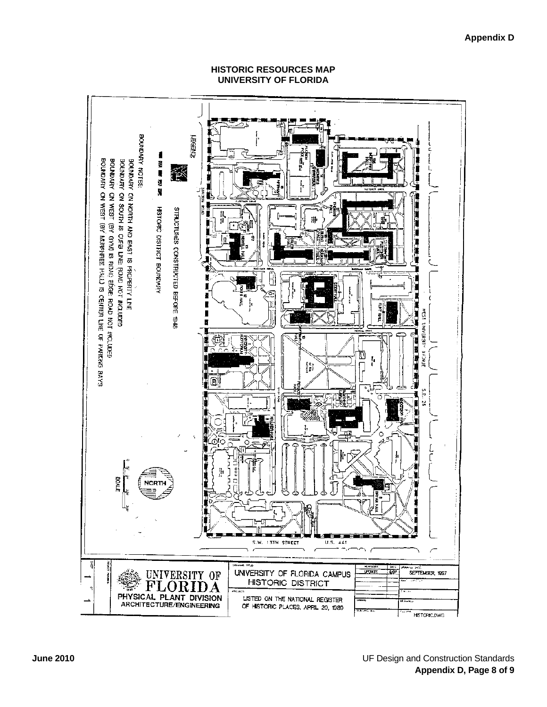

## **HISTORIC RESOURCES MAP UNIVERSITY OF FLORIDA**